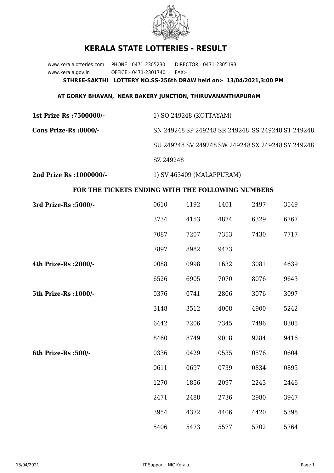

## **KERALA STATE LOTTERIES - RESULT**

www.keralalotteries.com PHONE:- 0471-2305230 DIRECTOR:- 0471-2305193 www.kerala.gov.in OFFICE:- 0471-2301740 FAX:- **STHREE-SAKTHI LOTTERY NO.SS-256th DRAW held on:- 13/04/2021,3:00 PM**

## **AT GORKY BHAVAN, NEAR BAKERY JUNCTION, THIRUVANANTHAPURAM**

| 1st Prize Rs :7500000/-  | 1) SO 249248 (KOTTAYAM)                           |
|--------------------------|---------------------------------------------------|
| Cons Prize-Rs :8000/-    | SN 249248 SP 249248 SR 249248 SS 249248 ST 249248 |
|                          | SU 249248 SV 249248 SW 249248 SX 249248 SY 249248 |
|                          | SZ 249248                                         |
| 2nd Prize Rs : 1000000/- | 1) SV 463409 (MALAPPURAM)                         |

## **FOR THE TICKETS ENDING WITH THE FOLLOWING NUMBERS**

| 3rd Prize-Rs : 5000/- | 0610 | 1192 | 1401 | 2497 | 3549 |
|-----------------------|------|------|------|------|------|
|                       | 3734 | 4153 | 4874 | 6329 | 6767 |
|                       |      |      |      |      |      |
|                       | 7087 | 7207 | 7353 | 7430 | 7717 |
|                       | 7897 | 8982 | 9473 |      |      |
| 4th Prize-Rs : 2000/- | 0088 | 0998 | 1632 | 3081 | 4639 |
|                       | 6526 | 6905 | 7070 | 8076 | 9643 |
| 5th Prize-Rs : 1000/- | 0376 | 0741 | 2806 | 3076 | 3097 |
|                       | 3148 | 3512 | 4008 | 4900 | 5242 |
|                       | 6442 | 7206 | 7345 | 7496 | 8305 |
|                       | 8460 | 8749 | 9018 | 9284 | 9416 |
| 6th Prize-Rs :500/-   | 0336 | 0429 | 0535 | 0576 | 0604 |
|                       | 0611 | 0697 | 0739 | 0834 | 0895 |
|                       | 1270 | 1856 | 2097 | 2243 | 2446 |
|                       | 2471 | 2488 | 2736 | 2980 | 3947 |
|                       | 3954 | 4372 | 4406 | 4420 | 5398 |
|                       | 5406 | 5473 | 5577 | 5702 | 5764 |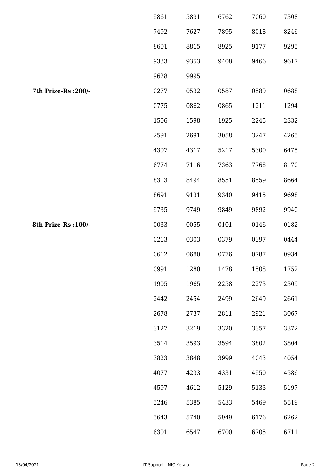|                      | 5861 | 5891 | 6762 | 7060 | 7308 |
|----------------------|------|------|------|------|------|
|                      | 7492 | 7627 | 7895 | 8018 | 8246 |
|                      | 8601 | 8815 | 8925 | 9177 | 9295 |
|                      | 9333 | 9353 | 9408 | 9466 | 9617 |
|                      | 9628 | 9995 |      |      |      |
| 7th Prize-Rs : 200/- | 0277 | 0532 | 0587 | 0589 | 0688 |
|                      | 0775 | 0862 | 0865 | 1211 | 1294 |
|                      | 1506 | 1598 | 1925 | 2245 | 2332 |
|                      | 2591 | 2691 | 3058 | 3247 | 4265 |
|                      | 4307 | 4317 | 5217 | 5300 | 6475 |
|                      | 6774 | 7116 | 7363 | 7768 | 8170 |
|                      | 8313 | 8494 | 8551 | 8559 | 8664 |
|                      | 8691 | 9131 | 9340 | 9415 | 9698 |
|                      | 9735 | 9749 | 9849 | 9892 | 9940 |
| 8th Prize-Rs : 100/- | 0033 | 0055 | 0101 | 0146 | 0182 |
|                      | 0213 | 0303 | 0379 | 0397 | 0444 |
|                      | 0612 | 0680 | 0776 | 0787 | 0934 |
|                      | 0991 | 1280 | 1478 | 1508 | 1752 |
|                      | 1905 | 1965 | 2258 | 2273 | 2309 |
|                      | 2442 | 2454 | 2499 | 2649 | 2661 |
|                      | 2678 | 2737 | 2811 | 2921 | 3067 |
|                      | 3127 | 3219 | 3320 | 3357 | 3372 |
|                      | 3514 | 3593 | 3594 | 3802 | 3804 |
|                      | 3823 | 3848 | 3999 | 4043 | 4054 |
|                      | 4077 | 4233 | 4331 | 4550 | 4586 |
|                      | 4597 | 4612 | 5129 | 5133 | 5197 |
|                      | 5246 | 5385 | 5433 | 5469 | 5519 |
|                      | 5643 | 5740 | 5949 | 6176 | 6262 |
|                      | 6301 | 6547 | 6700 | 6705 | 6711 |